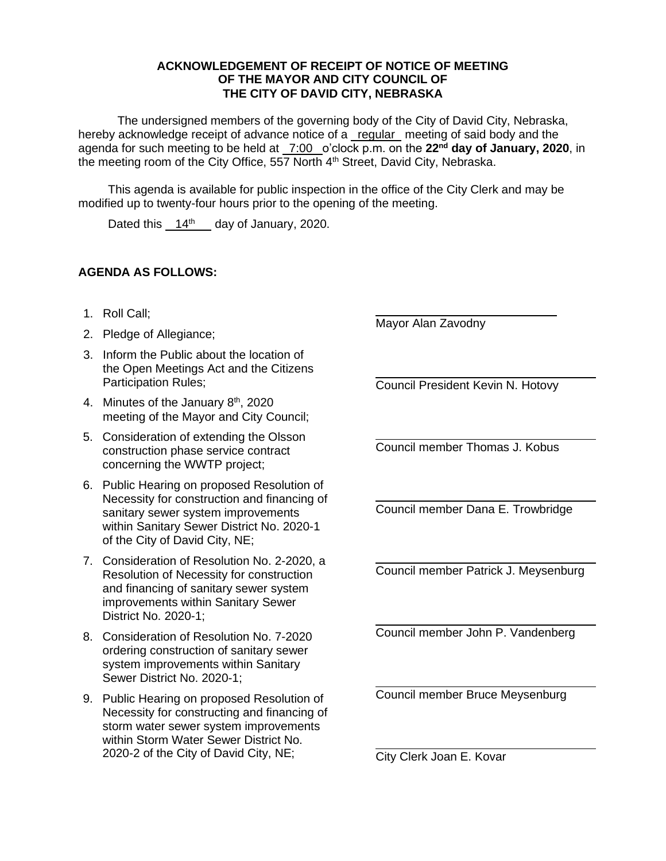## **ACKNOWLEDGEMENT OF RECEIPT OF NOTICE OF MEETING OF THE MAYOR AND CITY COUNCIL OF THE CITY OF DAVID CITY, NEBRASKA**

The undersigned members of the governing body of the City of David City, Nebraska, hereby acknowledge receipt of advance notice of a regular meeting of said body and the agenda for such meeting to be held at 7:00 o'clock p.m. on the **22nd day of January, 2020**, in the meeting room of the City Office, 557 North 4<sup>th</sup> Street, David City, Nebraska.

This agenda is available for public inspection in the office of the City Clerk and may be modified up to twenty-four hours prior to the opening of the meeting.

Dated this  $14<sup>th</sup>$  day of January, 2020.

## **AGENDA AS FOLLOWS:**

- 1. Roll Call;
- 2. Pledge of Allegiance;
- 3. Inform the Public about the location of the Open Meetings Act and the Citizens Participation Rules;
- 4. Minutes of the January 8<sup>th</sup>, 2020 meeting of the Mayor and City Council;
- 5. Consideration of extending the Olsson construction phase service contract concerning the WWTP project;
- 6. Public Hearing on proposed Resolution of Necessity for construction and financing of sanitary sewer system improvements within Sanitary Sewer District No. 2020-1 of the City of David City, NE;
- 7. Consideration of Resolution No. 2-2020, a Resolution of Necessity for construction and financing of sanitary sewer system improvements within Sanitary Sewer District No. 2020-1;
- 8. Consideration of Resolution No. 7-2020 ordering construction of sanitary sewer system improvements within Sanitary Sewer District No. 2020-1;
- 9. Public Hearing on proposed Resolution of Necessity for constructing and financing of storm water sewer system improvements within Storm Water Sewer District No. 2020-2 of the City of David City, NE;

Mayor Alan Zavodny

Council President Kevin N. Hotovy

Council member Thomas J. Kobus

Council member Dana E. Trowbridge

Council member Patrick J. Meysenburg

Council member John P. Vandenberg

Council member Bruce Meysenburg

City Clerk Joan E. Kovar